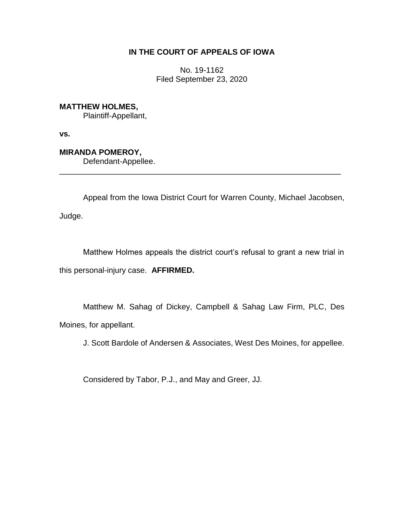# **IN THE COURT OF APPEALS OF IOWA**

No. 19-1162 Filed September 23, 2020

# **MATTHEW HOLMES,**

Plaintiff-Appellant,

**vs.**

# **MIRANDA POMEROY,**

Defendant-Appellee.

Appeal from the Iowa District Court for Warren County, Michael Jacobsen,

\_\_\_\_\_\_\_\_\_\_\_\_\_\_\_\_\_\_\_\_\_\_\_\_\_\_\_\_\_\_\_\_\_\_\_\_\_\_\_\_\_\_\_\_\_\_\_\_\_\_\_\_\_\_\_\_\_\_\_\_\_\_\_\_

Judge.

Matthew Holmes appeals the district court's refusal to grant a new trial in this personal-injury case. **AFFIRMED.**

Matthew M. Sahag of Dickey, Campbell & Sahag Law Firm, PLC, Des Moines, for appellant.

J. Scott Bardole of Andersen & Associates, West Des Moines, for appellee.

Considered by Tabor, P.J., and May and Greer, JJ.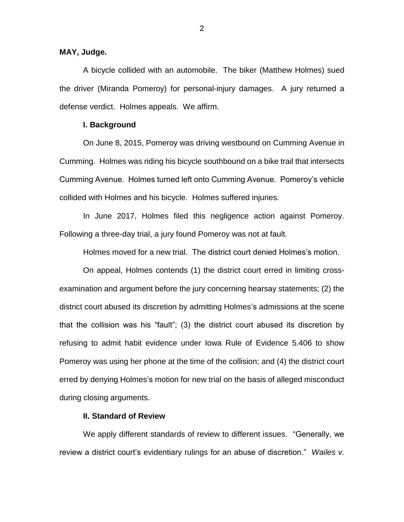## **MAY, Judge.**

A bicycle collided with an automobile. The biker (Matthew Holmes) sued the driver (Miranda Pomeroy) for personal-injury damages. A jury returned a defense verdict. Holmes appeals. We affirm.

#### **I. Background**

On June 8, 2015, Pomeroy was driving westbound on Cumming Avenue in Cumming. Holmes was riding his bicycle southbound on a bike trail that intersects Cumming Avenue. Holmes turned left onto Cumming Avenue. Pomeroy's vehicle collided with Holmes and his bicycle. Holmes suffered injuries.

In June 2017, Holmes filed this negligence action against Pomeroy. Following a three-day trial, a jury found Pomeroy was not at fault.

Holmes moved for a new trial. The district court denied Holmes's motion.

On appeal, Holmes contends (1) the district court erred in limiting crossexamination and argument before the jury concerning hearsay statements; (2) the district court abused its discretion by admitting Holmes's admissions at the scene that the collision was his "fault"; (3) the district court abused its discretion by refusing to admit habit evidence under Iowa Rule of Evidence 5.406 to show Pomeroy was using her phone at the time of the collision; and (4) the district court erred by denying Holmes's motion for new trial on the basis of alleged misconduct during closing arguments.

### **II. Standard of Review**

We apply different standards of review to different issues. "Generally, we review a district court's evidentiary rulings for an abuse of discretion." *Wailes v.*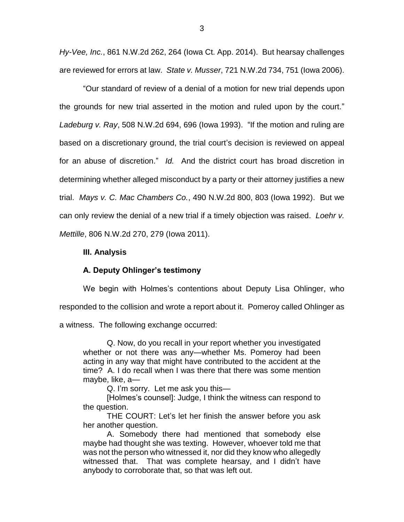*Hy-Vee, Inc.*, 861 N.W.2d 262, 264 (Iowa Ct. App. 2014). But hearsay challenges are reviewed for errors at law. *State v. Musser*, 721 N.W.2d 734, 751 (Iowa 2006).

"Our standard of review of a denial of a motion for new trial depends upon the grounds for new trial asserted in the motion and ruled upon by the court." *Ladeburg v. Ray*, 508 N.W.2d 694, 696 (Iowa 1993). "If the motion and ruling are based on a discretionary ground, the trial court's decision is reviewed on appeal for an abuse of discretion." *Id.* And the district court has broad discretion in determining whether alleged misconduct by a party or their attorney justifies a new trial. *Mays v. C. Mac Chambers Co.*, 490 N.W.2d 800, 803 (Iowa 1992). But we can only review the denial of a new trial if a timely objection was raised. *Loehr v. Mettille*, 806 N.W.2d 270, 279 (Iowa 2011).

### **III. Analysis**

### **A. Deputy Ohlinger's testimony**

We begin with Holmes's contentions about Deputy Lisa Ohlinger, who

responded to the collision and wrote a report about it. Pomeroy called Ohlinger as

a witness. The following exchange occurred:

Q. Now, do you recall in your report whether you investigated whether or not there was any—whether Ms. Pomeroy had been acting in any way that might have contributed to the accident at the time? A. I do recall when I was there that there was some mention maybe, like, a—

Q. I'm sorry. Let me ask you this—

[Holmes's counsel]: Judge, I think the witness can respond to the question.

THE COURT: Let's let her finish the answer before you ask her another question.

A. Somebody there had mentioned that somebody else maybe had thought she was texting. However, whoever told me that was not the person who witnessed it, nor did they know who allegedly witnessed that. That was complete hearsay, and I didn't have anybody to corroborate that, so that was left out.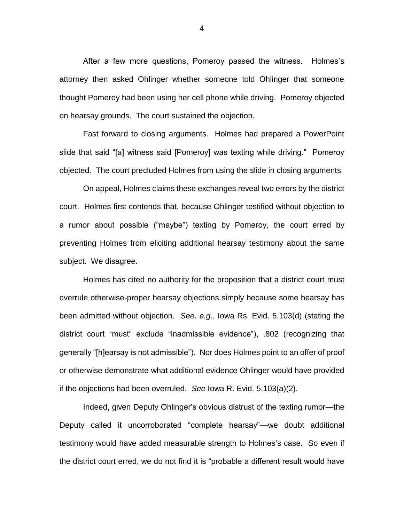After a few more questions, Pomeroy passed the witness. Holmes's attorney then asked Ohlinger whether someone told Ohlinger that someone thought Pomeroy had been using her cell phone while driving. Pomeroy objected on hearsay grounds. The court sustained the objection.

Fast forward to closing arguments. Holmes had prepared a PowerPoint slide that said "[a] witness said [Pomeroy] was texting while driving." Pomeroy objected. The court precluded Holmes from using the slide in closing arguments.

On appeal, Holmes claims these exchanges reveal two errors by the district court. Holmes first contends that, because Ohlinger testified without objection to a rumor about possible ("maybe") texting by Pomeroy, the court erred by preventing Holmes from eliciting additional hearsay testimony about the same subject. We disagree.

Holmes has cited no authority for the proposition that a district court must overrule otherwise-proper hearsay objections simply because some hearsay has been admitted without objection. *See, e.g.*, Iowa Rs. Evid. 5.103(d) (stating the district court "must" exclude "inadmissible evidence"), .802 (recognizing that generally "[h]earsay is not admissible"). Nor does Holmes point to an offer of proof or otherwise demonstrate what additional evidence Ohlinger would have provided if the objections had been overruled. *See* Iowa R. Evid. 5.103(a)(2).

Indeed, given Deputy Ohlinger's obvious distrust of the texting rumor—the Deputy called it uncorroborated "complete hearsay"—we doubt additional testimony would have added measurable strength to Holmes's case. So even if the district court erred, we do not find it is "probable a different result would have

4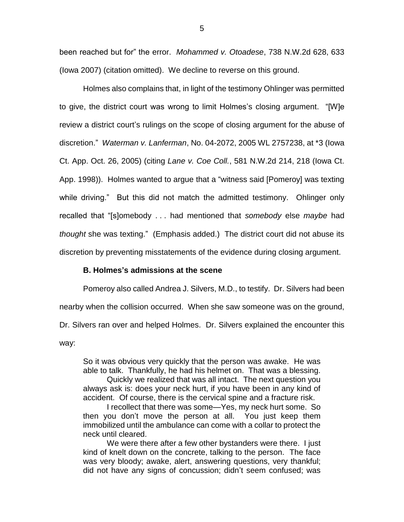been reached but for" the error. *Mohammed v. Otoadese*, 738 N.W.2d 628, 633 (Iowa 2007) (citation omitted). We decline to reverse on this ground.

Holmes also complains that, in light of the testimony Ohlinger was permitted to give, the district court was wrong to limit Holmes's closing argument. "[W]e review a district court's rulings on the scope of closing argument for the abuse of discretion." *Waterman v. Lanferman*, No. 04-2072, 2005 WL 2757238, at \*3 (Iowa Ct. App. Oct. 26, 2005) (citing *Lane v. Coe Coll.*, 581 N.W.2d 214, 218 (Iowa Ct. App. 1998)). Holmes wanted to argue that a "witness said [Pomeroy] was texting while driving." But this did not match the admitted testimony. Ohlinger only recalled that "[s]omebody . . . had mentioned that *somebody* else *maybe* had *thought* she was texting." (Emphasis added.) The district court did not abuse its discretion by preventing misstatements of the evidence during closing argument.

#### **B. Holmes's admissions at the scene**

Pomeroy also called Andrea J. Silvers, M.D., to testify. Dr. Silvers had been

nearby when the collision occurred. When she saw someone was on the ground,

Dr. Silvers ran over and helped Holmes. Dr. Silvers explained the encounter this

way:

So it was obvious very quickly that the person was awake. He was able to talk. Thankfully, he had his helmet on. That was a blessing.

Quickly we realized that was all intact. The next question you always ask is: does your neck hurt, if you have been in any kind of accident. Of course, there is the cervical spine and a fracture risk.

I recollect that there was some—Yes, my neck hurt some. So then you don't move the person at all. You just keep them immobilized until the ambulance can come with a collar to protect the neck until cleared.

We were there after a few other bystanders were there. I just kind of knelt down on the concrete, talking to the person. The face was very bloody; awake, alert, answering questions, very thankful; did not have any signs of concussion; didn't seem confused; was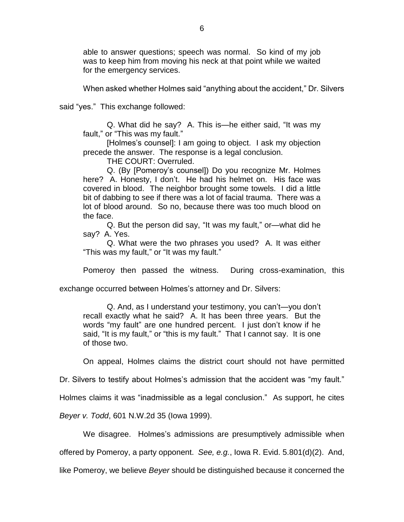able to answer questions; speech was normal. So kind of my job was to keep him from moving his neck at that point while we waited for the emergency services.

When asked whether Holmes said "anything about the accident," Dr. Silvers

said "yes." This exchange followed:

Q. What did he say? A. This is—he either said, "It was my fault," or "This was my fault."

[Holmes's counsel]: I am going to object. I ask my objection precede the answer. The response is a legal conclusion.

THE COURT: Overruled.

Q. (By [Pomeroy's counsel]) Do you recognize Mr. Holmes here? A. Honesty, I don't. He had his helmet on. His face was covered in blood. The neighbor brought some towels. I did a little bit of dabbing to see if there was a lot of facial trauma. There was a lot of blood around. So no, because there was too much blood on the face.

Q. But the person did say, "It was my fault," or—what did he say? A. Yes.

Q. What were the two phrases you used? A. It was either "This was my fault," or "It was my fault."

Pomeroy then passed the witness. During cross-examination, this

exchange occurred between Holmes's attorney and Dr. Silvers:

Q. And, as I understand your testimony, you can't—you don't recall exactly what he said? A. It has been three years. But the words "my fault" are one hundred percent. I just don't know if he said, "It is my fault," or "this is my fault." That I cannot say. It is one of those two.

On appeal, Holmes claims the district court should not have permitted

Dr. Silvers to testify about Holmes's admission that the accident was "my fault."

Holmes claims it was "inadmissible as a legal conclusion." As support, he cites

*Beyer v. Todd*, 601 N.W.2d 35 (Iowa 1999).

We disagree. Holmes's admissions are presumptively admissible when offered by Pomeroy, a party opponent. *See, e.g.*, Iowa R. Evid. 5.801(d)(2). And, like Pomeroy, we believe *Beyer* should be distinguished because it concerned the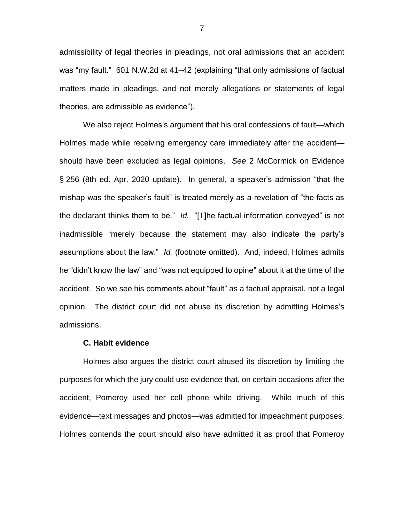admissibility of legal theories in pleadings, not oral admissions that an accident was "my fault." 601 N.W.2d at 41–42 (explaining "that only admissions of factual matters made in pleadings, and not merely allegations or statements of legal theories, are admissible as evidence").

We also reject Holmes's argument that his oral confessions of fault—which Holmes made while receiving emergency care immediately after the accident should have been excluded as legal opinions. *See* 2 McCormick on Evidence § 256 (8th ed. Apr. 2020 update). In general, a speaker's admission "that the mishap was the speaker's fault" is treated merely as a revelation of "the facts as the declarant thinks them to be." *Id.* "[T]he factual information conveyed" is not inadmissible "merely because the statement may also indicate the party's assumptions about the law." *Id.* (footnote omitted). And, indeed, Holmes admits he "didn't know the law" and "was not equipped to opine" about it at the time of the accident. So we see his comments about "fault" as a factual appraisal, not a legal opinion. The district court did not abuse its discretion by admitting Holmes's admissions.

#### **C. Habit evidence**

Holmes also argues the district court abused its discretion by limiting the purposes for which the jury could use evidence that, on certain occasions after the accident, Pomeroy used her cell phone while driving. While much of this evidence—text messages and photos—was admitted for impeachment purposes, Holmes contends the court should also have admitted it as proof that Pomeroy

7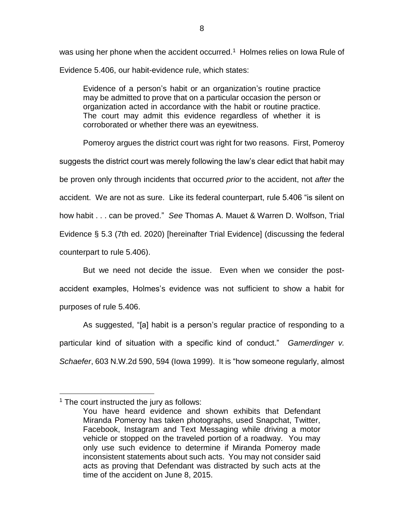was using her phone when the accident occurred.<sup>1</sup> Holmes relies on lowa Rule of Evidence 5.406, our habit-evidence rule, which states:

Evidence of a person's habit or an organization's routine practice may be admitted to prove that on a particular occasion the person or organization acted in accordance with the habit or routine practice. The court may admit this evidence regardless of whether it is corroborated or whether there was an eyewitness.

Pomeroy argues the district court was right for two reasons. First, Pomeroy suggests the district court was merely following the law's clear edict that habit may be proven only through incidents that occurred *prior* to the accident, not *after* the accident. We are not as sure. Like its federal counterpart, rule 5.406 "is silent on how habit . . . can be proved." *See* Thomas A. Mauet & Warren D. Wolfson, Trial Evidence § 5.3 (7th ed. 2020) [hereinafter Trial Evidence] (discussing the federal counterpart to rule 5.406).

But we need not decide the issue. Even when we consider the postaccident examples, Holmes's evidence was not sufficient to show a habit for purposes of rule 5.406.

As suggested, "[a] habit is a person's regular practice of responding to a particular kind of situation with a specific kind of conduct." *Gamerdinger v. Schaefer*, 603 N.W.2d 590, 594 (Iowa 1999). It is "how someone regularly, almost

 $\overline{a}$ 

 $1$  The court instructed the jury as follows:

You have heard evidence and shown exhibits that Defendant Miranda Pomeroy has taken photographs, used Snapchat, Twitter, Facebook, Instagram and Text Messaging while driving a motor vehicle or stopped on the traveled portion of a roadway. You may only use such evidence to determine if Miranda Pomeroy made inconsistent statements about such acts. You may not consider said acts as proving that Defendant was distracted by such acts at the time of the accident on June 8, 2015.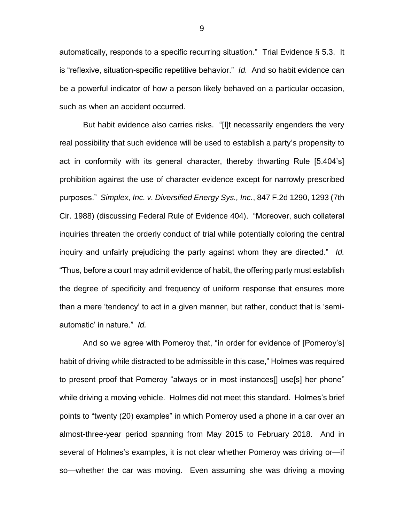automatically, responds to a specific recurring situation." Trial Evidence § 5.3. It is "reflexive, situation-specific repetitive behavior." *Id.* And so habit evidence can be a powerful indicator of how a person likely behaved on a particular occasion, such as when an accident occurred.

But habit evidence also carries risks. "[I]t necessarily engenders the very real possibility that such evidence will be used to establish a party's propensity to act in conformity with its general character, thereby thwarting Rule [5.404's] prohibition against the use of character evidence except for narrowly prescribed purposes." *Simplex, Inc. v. Diversified Energy Sys., Inc.*, 847 F.2d 1290, 1293 (7th Cir. 1988) (discussing Federal Rule of Evidence 404). "Moreover, such collateral inquiries threaten the orderly conduct of trial while potentially coloring the central inquiry and unfairly prejudicing the party against whom they are directed." *Id.*  "Thus, before a court may admit evidence of habit, the offering party must establish the degree of specificity and frequency of uniform response that ensures more than a mere 'tendency' to act in a given manner, but rather, conduct that is 'semiautomatic' in nature." *Id.*

And so we agree with Pomeroy that, "in order for evidence of [Pomeroy's] habit of driving while distracted to be admissible in this case," Holmes was required to present proof that Pomeroy "always or in most instances[] use[s] her phone" while driving a moving vehicle. Holmes did not meet this standard. Holmes's brief points to "twenty (20) examples" in which Pomeroy used a phone in a car over an almost-three-year period spanning from May 2015 to February 2018. And in several of Holmes's examples, it is not clear whether Pomeroy was driving or—if so—whether the car was moving. Even assuming she was driving a moving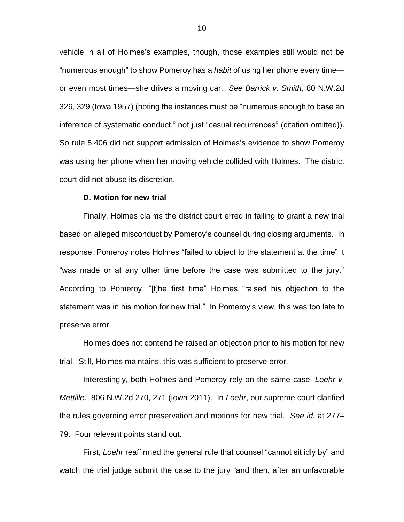vehicle in all of Holmes's examples, though, those examples still would not be "numerous enough" to show Pomeroy has a *habit* of using her phone every time or even most times—she drives a moving car. *See Barrick v. Smith*, 80 N.W.2d 326, 329 (Iowa 1957) (noting the instances must be "numerous enough to base an inference of systematic conduct," not just "casual recurrences" (citation omitted)). So rule 5.406 did not support admission of Holmes's evidence to show Pomeroy was using her phone when her moving vehicle collided with Holmes. The district court did not abuse its discretion.

#### **D. Motion for new trial**

Finally, Holmes claims the district court erred in failing to grant a new trial based on alleged misconduct by Pomeroy's counsel during closing arguments. In response, Pomeroy notes Holmes "failed to object to the statement at the time" it "was made or at any other time before the case was submitted to the jury." According to Pomeroy, "[t]he first time" Holmes "raised his objection to the statement was in his motion for new trial." In Pomeroy's view, this was too late to preserve error.

Holmes does not contend he raised an objection prior to his motion for new trial. Still, Holmes maintains, this was sufficient to preserve error.

Interestingly, both Holmes and Pomeroy rely on the same case, *Loehr v. Mettille*. 806 N.W.2d 270, 271 (Iowa 2011). In *Loehr*, our supreme court clarified the rules governing error preservation and motions for new trial. *See id.* at 277– 79. Four relevant points stand out.

First, *Loehr* reaffirmed the general rule that counsel "cannot sit idly by" and watch the trial judge submit the case to the jury "and then, after an unfavorable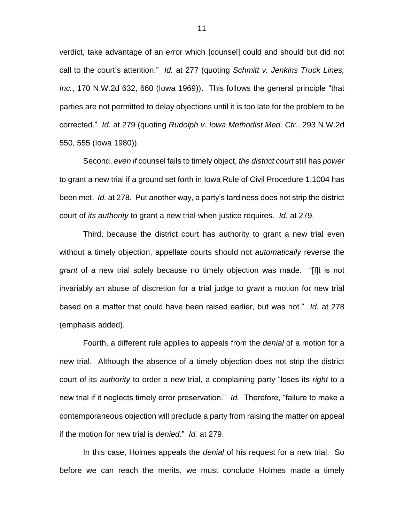verdict, take advantage of an error which [counsel] could and should but did not call to the court's attention." *Id.* at 277 (quoting *Schmitt v. Jenkins Truck Lines, Inc.*, 170 N.W.2d 632, 660 (Iowa 1969)). This follows the general principle "that parties are not permitted to delay objections until it is too late for the problem to be corrected." *Id.* at 279 (quoting *Rudolph v. Iowa Methodist Med. Ctr.*, 293 N.W.2d 550, 555 (Iowa 1980)).

Second, *even if* counsel fails to timely object, *the district court* still has *power* to grant a new trial if a ground set forth in Iowa Rule of Civil Procedure 1.1004 has been met. *Id.* at 278. Put another way, a party's tardiness does not strip the district court of *its authority* to grant a new trial when justice requires. *Id.* at 279.

Third, because the district court has authority to grant a new trial even without a timely objection, appellate courts should not *automatically* reverse the *grant* of a new trial solely because no timely objection was made. "[I]t is not invariably an abuse of discretion for a trial judge to *grant* a motion for new trial based on a matter that could have been raised earlier, but was not." *Id.* at 278 (emphasis added).

Fourth, a different rule applies to appeals from the *denial* of a motion for a new trial. Although the absence of a timely objection does not strip the district court of its *authority* to order a new trial, a complaining party "loses its *right* to a new trial if it neglects timely error preservation." *Id.* Therefore, "failure to make a contemporaneous objection will preclude a party from raising the matter on appeal if the motion for new trial is *denied*." *Id.* at 279.

In this case, Holmes appeals the *denial* of his request for a new trial. So before we can reach the merits, we must conclude Holmes made a timely